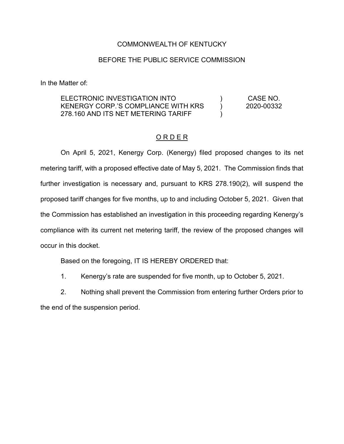## COMMONWEALTH OF KENTUCKY

## BEFORE THE PUBLIC SERVICE COMMISSION

In the Matter of:

ELECTRONIC INVESTIGATION INTO KENERGY CORP.'S COMPLIANCE WITH KRS 278.160 AND ITS NET METERING TARIFF  $\lambda$  $\lambda$  $\lambda$ CASE NO. 2020-00332

## O R D E R

On April 5, 2021, Kenergy Corp. (Kenergy) filed proposed changes to its net metering tariff, with a proposed effective date of May 5, 2021. The Commission finds that further investigation is necessary and, pursuant to KRS 278.190(2), will suspend the proposed tariff changes for five months, up to and including October 5, 2021. Given that the Commission has established an investigation in this proceeding regarding Kenergy's compliance with its current net metering tariff, the review of the proposed changes will occur in this docket.

Based on the foregoing, IT IS HEREBY ORDERED that:

1. Kenergy's rate are suspended for five month, up to October 5, 2021.

2. Nothing shall prevent the Commission from entering further Orders prior to

the end of the suspension period.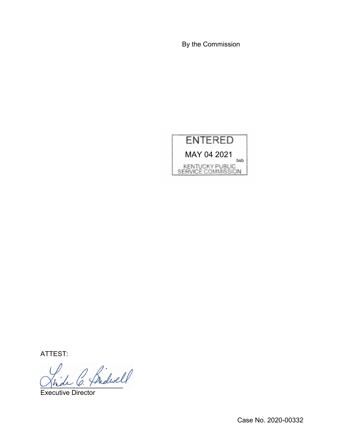By the Commission



ATTEST:

\_\_\_\_\_\_\_\_\_\_\_\_\_\_\_\_\_\_\_\_\_\_

Executive Director

Case No. 2020-00332